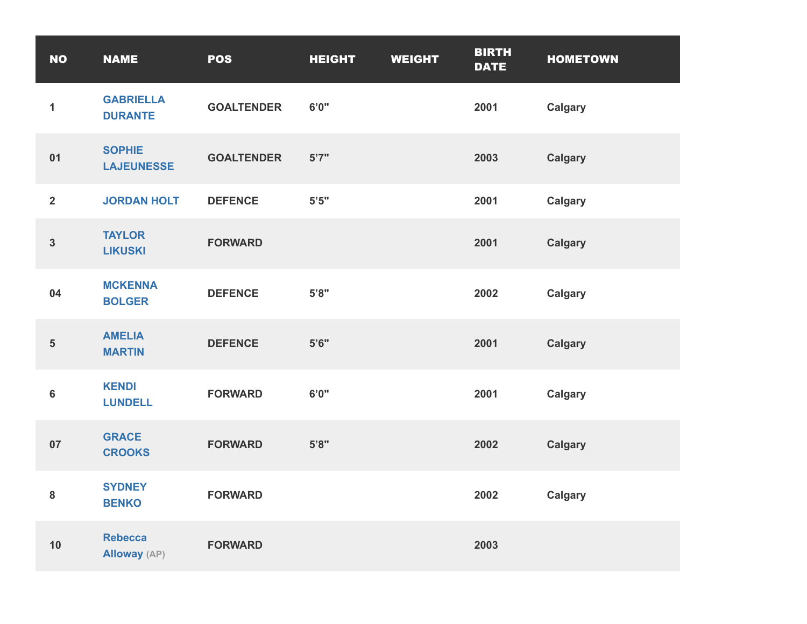| <b>NO</b>      | <b>NAME</b>                           | <b>POS</b>        | <b>HEIGHT</b> | <b>WEIGHT</b> | <b>BIRTH</b><br><b>DATE</b> | <b>HOMETOWN</b> |
|----------------|---------------------------------------|-------------------|---------------|---------------|-----------------------------|-----------------|
| $\mathbf{1}$   | <b>GABRIELLA</b><br><b>DURANTE</b>    | <b>GOALTENDER</b> | 6'0''         |               | 2001                        | <b>Calgary</b>  |
| 01             | <b>SOPHIE</b><br><b>LAJEUNESSE</b>    | <b>GOALTENDER</b> | 5'7''         |               | 2003                        | <b>Calgary</b>  |
| $\overline{2}$ | <b>JORDAN HOLT</b>                    | <b>DEFENCE</b>    | $5'5"$        |               | 2001                        | <b>Calgary</b>  |
| $\mathbf{3}$   | <b>TAYLOR</b><br><b>LIKUSKI</b>       | <b>FORWARD</b>    |               |               | 2001                        | <b>Calgary</b>  |
| 04             | <b>MCKENNA</b><br><b>BOLGER</b>       | <b>DEFENCE</b>    | 5'8"          |               | 2002                        | <b>Calgary</b>  |
| ${\bf 5}$      | <b>AMELIA</b><br><b>MARTIN</b>        | <b>DEFENCE</b>    | 5'6''         |               | 2001                        | <b>Calgary</b>  |
| $\bf 6$        | <b>KENDI</b><br><b>LUNDELL</b>        | <b>FORWARD</b>    | 6'0''         |               | 2001                        | <b>Calgary</b>  |
| 07             | <b>GRACE</b><br><b>CROOKS</b>         | <b>FORWARD</b>    | 5'8"          |               | 2002                        | <b>Calgary</b>  |
| 8              | <b>SYDNEY</b><br><b>BENKO</b>         | <b>FORWARD</b>    |               |               | 2002                        | <b>Calgary</b>  |
| 10             | <b>Rebecca</b><br><b>Alloway</b> (AP) | <b>FORWARD</b>    |               |               | 2003                        |                 |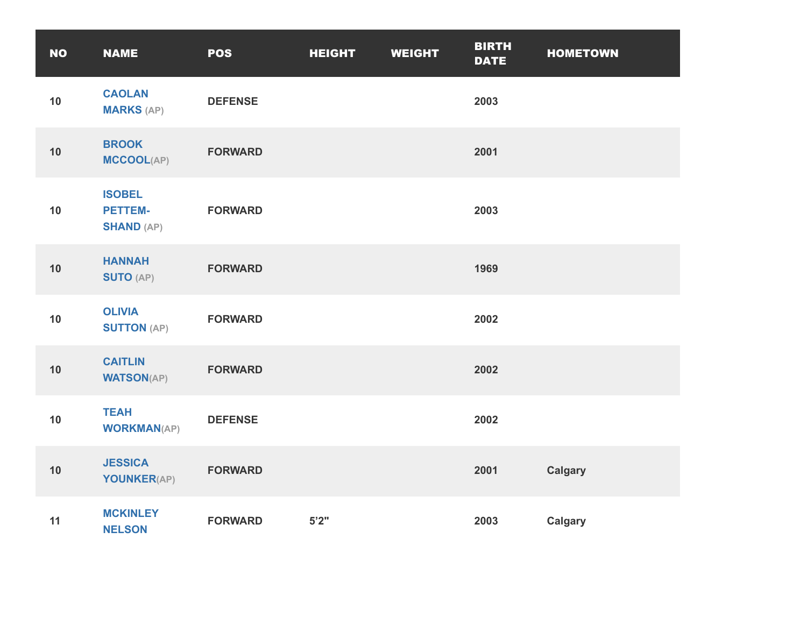| <b>NO</b> | <b>NAME</b>                                          | <b>POS</b>     | <b>HEIGHT</b> | <b>WEIGHT</b> | <b>BIRTH</b><br><b>DATE</b> | <b>HOMETOWN</b> |
|-----------|------------------------------------------------------|----------------|---------------|---------------|-----------------------------|-----------------|
| 10        | <b>CAOLAN</b><br><b>MARKS (AP)</b>                   | <b>DEFENSE</b> |               |               | 2003                        |                 |
| 10        | <b>BROOK</b><br><b>MCCOOL(AP)</b>                    | <b>FORWARD</b> |               |               | 2001                        |                 |
| 10        | <b>ISOBEL</b><br><b>PETTEM-</b><br><b>SHAND (AP)</b> | <b>FORWARD</b> |               |               | 2003                        |                 |
| 10        | <b>HANNAH</b><br><b>SUTO (AP)</b>                    | <b>FORWARD</b> |               |               | 1969                        |                 |
| 10        | <b>OLIVIA</b><br><b>SUTTON (AP)</b>                  | <b>FORWARD</b> |               |               | 2002                        |                 |
| 10        | <b>CAITLIN</b><br><b>WATSON(AP)</b>                  | <b>FORWARD</b> |               |               | 2002                        |                 |
| 10        | <b>TEAH</b><br><b>WORKMAN(AP)</b>                    | <b>DEFENSE</b> |               |               | 2002                        |                 |
| 10        | <b>JESSICA</b><br>YOUNKER(AP)                        | <b>FORWARD</b> |               |               | 2001                        | <b>Calgary</b>  |
| 11        | <b>MCKINLEY</b><br><b>NELSON</b>                     | <b>FORWARD</b> | 5'2''         |               | 2003                        | <b>Calgary</b>  |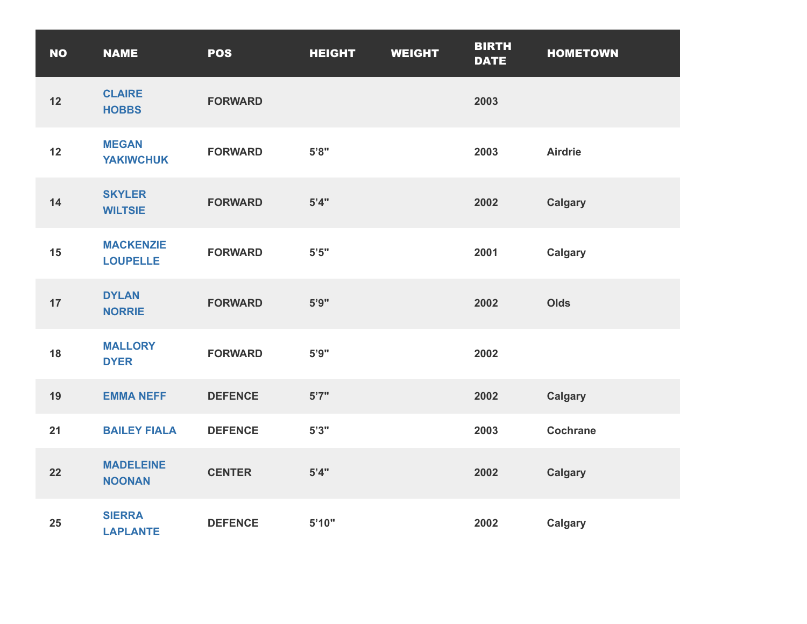| <b>NO</b> | <b>NAME</b>                         | <b>POS</b>     | <b>HEIGHT</b> | <b>WEIGHT</b> | <b>BIRTH</b><br><b>DATE</b> | <b>HOMETOWN</b> |
|-----------|-------------------------------------|----------------|---------------|---------------|-----------------------------|-----------------|
| 12        | <b>CLAIRE</b><br><b>HOBBS</b>       | <b>FORWARD</b> |               |               | 2003                        |                 |
| 12        | <b>MEGAN</b><br><b>YAKIWCHUK</b>    | <b>FORWARD</b> | $5'8"$        |               | 2003                        | <b>Airdrie</b>  |
| 14        | <b>SKYLER</b><br><b>WILTSIE</b>     | <b>FORWARD</b> | 5'4"          |               | 2002                        | <b>Calgary</b>  |
| 15        | <b>MACKENZIE</b><br><b>LOUPELLE</b> | <b>FORWARD</b> | $5'5"$        |               | 2001                        | <b>Calgary</b>  |
| 17        | <b>DYLAN</b><br><b>NORRIE</b>       | <b>FORWARD</b> | 5'9''         |               | 2002                        | Olds            |
| 18        | <b>MALLORY</b><br><b>DYER</b>       | <b>FORWARD</b> | 5'9''         |               | 2002                        |                 |
| 19        | <b>EMMA NEFF</b>                    | <b>DEFENCE</b> | 5'7''         |               | 2002                        | <b>Calgary</b>  |
| 21        | <b>BAILEY FIALA</b>                 | <b>DEFENCE</b> | 5'3''         |               | 2003                        | <b>Cochrane</b> |
| 22        | <b>MADELEINE</b><br><b>NOONAN</b>   | <b>CENTER</b>  | 5'4"          |               | 2002                        | <b>Calgary</b>  |
| 25        | <b>SIERRA</b><br><b>LAPLANTE</b>    | <b>DEFENCE</b> | 5'10"         |               | 2002                        | <b>Calgary</b>  |